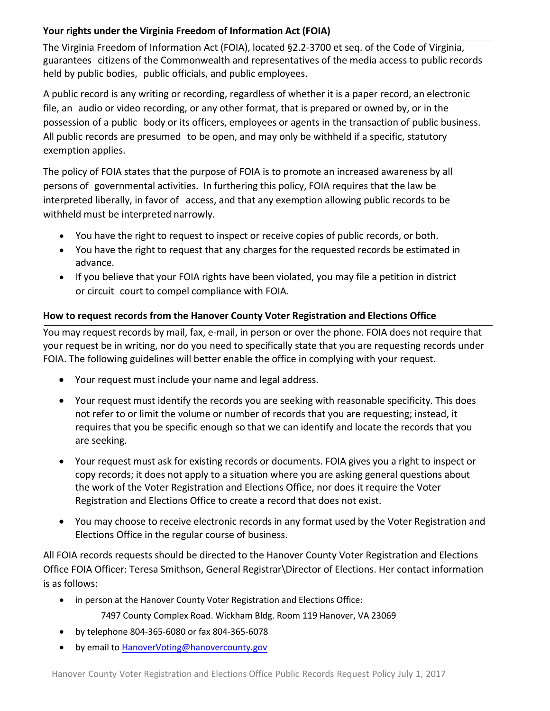# **Your rights under the Virginia Freedom of Information Act (FOIA)**

The Virginia Freedom of Information Act (FOIA), located §2.2‐3700 et seq. of the Code of Virginia, guarantees citizens of the Commonwealth and representatives of the media access to public records held by public bodies, public officials, and public employees.

A public record is any writing or recording, regardless of whether it is a paper record, an electronic file, an audio or video recording, or any other format, that is prepared or owned by, or in the possession of a public body or its officers, employees or agents in the transaction of public business. All public records are presumed to be open, and may only be withheld if a specific, statutory exemption applies.

The policy of FOIA states that the purpose of FOIA is to promote an increased awareness by all persons of governmental activities. In furthering this policy, FOIA requires that the law be interpreted liberally, in favor of access, and that any exemption allowing public records to be withheld must be interpreted narrowly.

- You have the right to request to inspect or receive copies of public records, or both.
- You have the right to request that any charges for the requested records be estimated in advance.
- If you believe that your FOIA rights have been violated, you may file a petition in district or circuit court to compel compliance with FOIA.

## **How to request records from the Hanover County Voter Registration and Elections Office**

You may request records by mail, fax, e‐mail, in person or over the phone. FOIA does not require that your request be in writing, nor do you need to specifically state that you are requesting records under FOIA. The following guidelines will better enable the office in complying with your request.

- Your request must include your name and legal address.
- Your request must identify the records you are seeking with reasonable specificity. This does not refer to or limit the volume or number of records that you are requesting; instead, it requires that you be specific enough so that we can identify and locate the records that you are seeking.
- Your request must ask for existing records or documents. FOIA gives you a right to inspect or copy records; it does not apply to a situation where you are asking general questions about the work of the Voter Registration and Elections Office, nor does it require the Voter Registration and Elections Office to create a record that does not exist.
- You may choose to receive electronic records in any format used by the Voter Registration and Elections Office in the regular course of business.

All FOIA records requests should be directed to the Hanover County Voter Registration and Elections Office FOIA Officer: Teresa Smithson, General Registrar\Director of Elections. Her contact information is as follows:

in person at the Hanover County Voter Registration and Elections Office:

7497 County Complex Road. Wickham Bldg. Room 119 Hanover, VA 23069

- by telephone 804‐365‐6080 or fax 804‐365‐6078
- by email to **HanoverVoting@hanovercounty.gov**